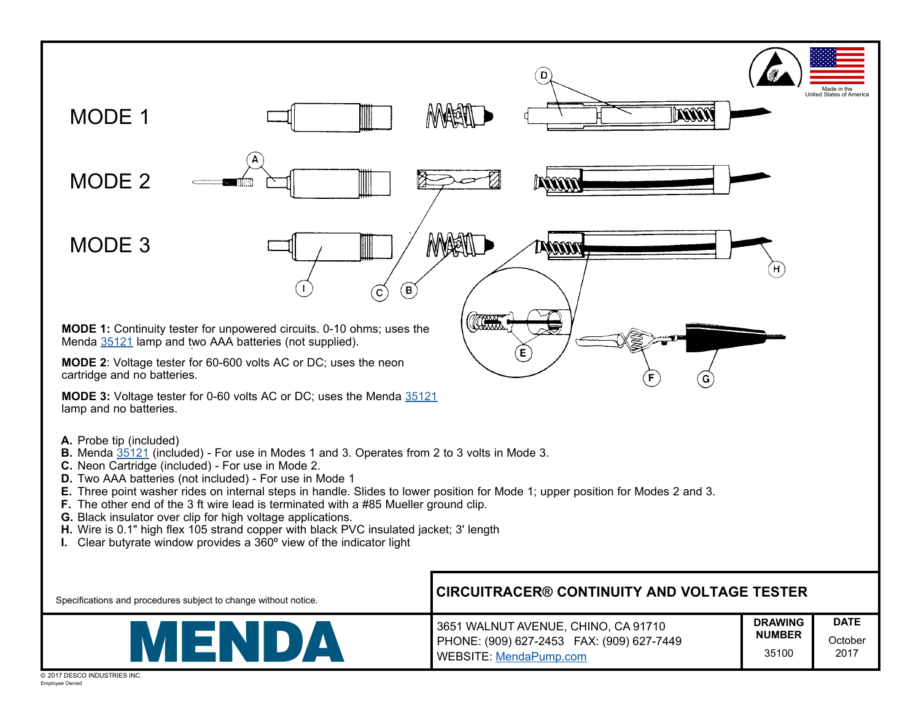